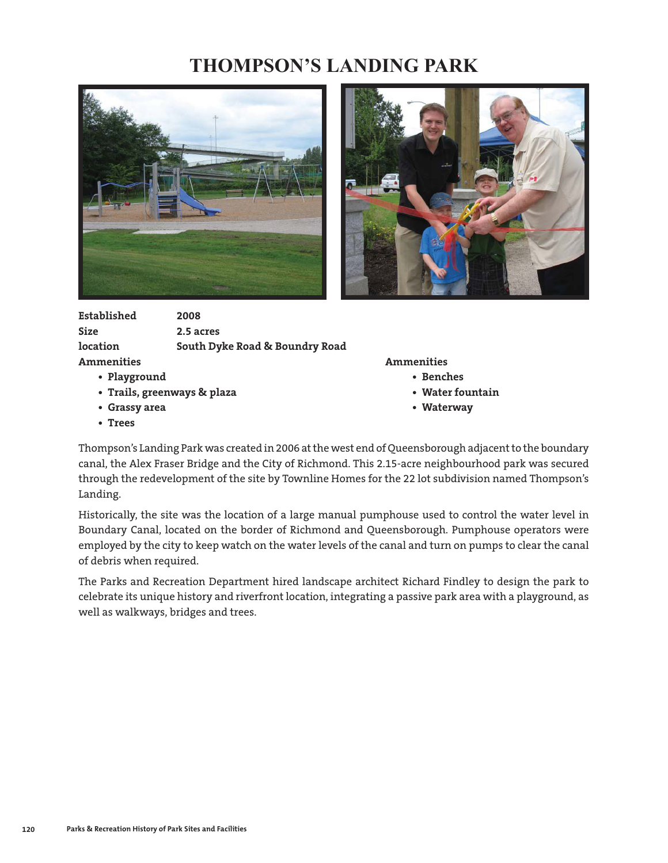## **THOMPSON'S LANDING PARK**





| Established       | 2008                           |
|-------------------|--------------------------------|
| <b>Size</b>       | 2.5 acres                      |
| location          | South Dyke Road & Boundry Road |
| <b>Ammenities</b> |                                |

- **Playground Benches**
- **Trails, greenways & plaza Water fountain**
- Grassy area  **Waterway**
- **Trees**

**Ammenities Ammenities**

- -
- 

Thompson's Landing Park was created in 2006 at the west end of Queensborough adjacent to the boundary canal, the Alex Fraser Bridge and the City of Richmond. This 2.15-acre neighbourhood park was secured through the redevelopment of the site by Townline Homes for the 22 lot subdivision named Thompson's Landing.

Historically, the site was the location of a large manual pumphouse used to control the water level in Boundary Canal, located on the border of Richmond and Queensborough. Pumphouse operators were employed by the city to keep watch on the water levels of the canal and turn on pumps to clear the canal of debris when required.

The Parks and Recreation Department hired landscape architect Richard Findley to design the park to celebrate its unique history and riverfront location, integrating a passive park area with a playground, as well as walkways, bridges and trees.